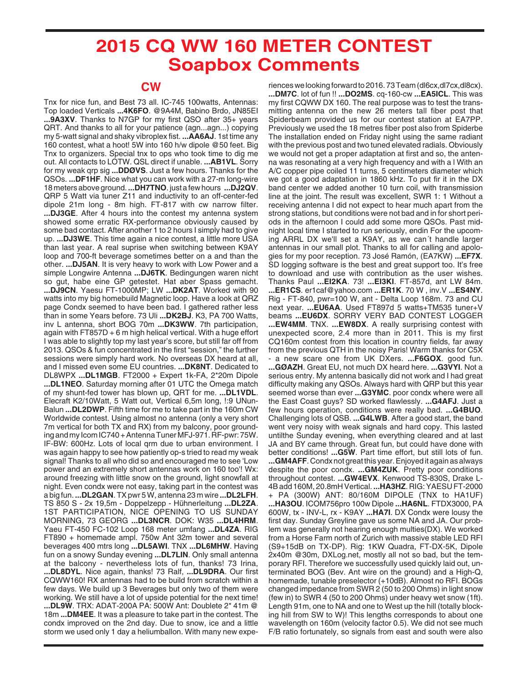## **2015 CQ WW 160 METER CONTEST Soapbox Comments**

## **CW**

Tnx for nice fun, and Best 73 all. IC-745 100watts, Antennas: Top loaded Verticals **...4K6FO**. @9A4M, Babino Brdo, JN85EI **...9A3XV**. Thanks to N7GP for my first QSO after 35+ years QRT. And thanks to all for your patience (agn...agn...) copying my 5-watt signal and shaky vibroplex fist. **...AA6AJ**. 1st time any 160 contest, what a hoot! 5W into 160 h/w dipole @50 feet. Big Tnx to organizers. Special tnx to ops who took time to dig me out. All contacts to LOTW. QSL direct if unable. **...AB1VL**. Sorry for my weak qrp sig **...DDØVS**. Just a few hours. Thanks for the QSOs. **...DF1HF**. Nice what you can work with a 27-m long-wire 18 meters above ground. **...DH7TNO**. just a few hours **...DJ2QV**. QRP 5 Watt via tuner Z11 and inductivity to an off-center-fed dipole 21m long - 8m high. FT-817 with cw narrow filter. **...DJ3GE**. After 4 hours into the contest my antenna system showed some erratic RX-performance obviously caused by some bad contact. After another 1 to 2 hours I simply had to give up. **...DJ3WE**. This time again a nice contest, a little more USA than last year. A real suprise when switching between K9AY loop and 700-ft beverage sometimes better on a and than the other. **...DJ5AN**. It is very heavy to work with Low Power and a simple Longwire Antenna **...DJ6TK**. Bedingungen waren nicht so gut, habe eine GP getestet. Hat aber Spass gemacht. **...DJ9CN**. Yaesu FT-1000MP; LW **...DK2AT**. Worked with 90 watts into my big homebuild Magnetic loop. Have a look at QRZ page Condx seemed to have been bad. I gathered rather less than in some Years before. 73 Uli **...DK2BJ**. K3, PA 700 Watts, inv L antenna, short BOG 70m **...DK3WW**. 7th participation, again with FT857D + 6 m high helical vertical. With a huge effort I was able to slightly top my last year's score, but still far off from 2013. QSOs & fun concentrated in the first "session," the further sessions were simply hard work. No overseas DX heard at all, and I missed even some EU countries. **...DK8NT**. Dedicated to DL8WPX **...DL1MGB**. FT2000 + Expert 1k-FA, 2\*20m Dipole **...DL1NEO**. Saturday morning after 01 UTC the Omega match of my shunt-fed tower has blown up, QRT for me. **...DL1VDL**. Elecraft K2/10Watt, 5 Watt out, Vertical 6,5m long, !:9 UNun-Balun **...DL2DWP**. Fifth time for me to take part in the 160m CW Worldwide contest. Using almost no antenna (only a very short 7m vertical for both TX and RX) from my balcony, poor grounding and my Icom IC740 + Antenna Tuner MFJ-971. RF-pwr: 75W. IF-BW: 600Hz. Lots of local qrm due to urban environment. I was again happy to see how patiently op-s tried to read my weak signal! Thanks to all who did so and encouraged me to see 'Low power and an extremely short antennas work on 160 too'! Wx: around freezing with little snow on the ground, light snowfall at night. Even condx were not easy, taking part in the contest was a big fun. **...DL2GAN**. TX pwr 5 W, antenna 23 m wire **...DL2LFH**. TS 850 S - 2x 19,5m - Doppelzepp - Hühnerleitung **...DL2ZA**. 1ST PARTICIPATION, NICE OPENING TO US SUNDAY MORNING, 73 GEORG **...DL3NCR**. DOK: W35 **...DL4HRM**. Yaeu FT-450 FC-102 Loop 168 meter umfang **...DL4ZA**. RIG FT890 + homemade ampl. 750w Ant 32m tower and several beverages 400 mtrs long **...DL5AWI**. TNX **...DL6MHW**. Having fun on a snowy Sunday evening **...DL7LIN**. Only small antenna at the balcony - nevertheless lots of fun, thanks! 73 Irina, **...DL8DYL**. Nice again, thanks! 73 Ralf, **...DL9DRA**. Our first CQWW160! RX antennas had to be build from scratch within a few days. We build up 3 Beverages but only two of them were working. We still have a lot of upside potential for the next time! **...DL9W**. TRX: ADAT-200A PA: 500W Ant: Doublete 2\* 41m @ 18m **...DM4EE**. It was a pleasure to take part in the contest. The condx improved on the 2nd day. Due to snow, ice and a little storm we used only 1 day a heliumballon. With many new expe-

riences we looking forward to 2016. 73 Team (dl6cx,dl7cx,dl8cx). **...DM7C**. lot of fun !! **...DO2MS**. cq-160-cw **...EA5ICL**. This was my first CQWW DX 160. The real purpose was to test the transmitting antenna on the new 26 meters tall fiber post that Spiderbeam provided us for our contest station at EA7PP. Previously we used the 18 metres fiber post also from Spiderbe The installation ended on Friday night using the same radiant with the previous post and two tuned elevated radials. Obviously we would not get a proper adaptation at first and so, the antenna was resonating at a very high frequency and with a l With an A/C copper pipe coiled 11 turns, 5 centimeters diameter which we got a good adaptation in 1860 kHz. To put fir it in the DX band center we added another 10 turn coil, with transmission line at the joint. The result was excellent, SWR 1: 1 Without a receiving antenna I did not expect to hear much apart from the strong stations, but conditions were not bad and in for short periods in the afternoon I could add some more QSOs. Past midnight local time I started to run seriously, endin For the upcoming ARRL DX we'll set a K9AY, as we can´t handle larger antennas in our small plot. Thanks to all for calling and apologies for my poor reception. 73 José Ramón, (EA7KW) **...EF7X**. SD logging software is the best and great support too. It's free to download and use with contribution as the user wishes.

Thanks Paul **...EI2KA**. 73! **...EI3KI**. FT-857d, ant LW 84m. **...ER1CS**. er1caf@yahoo.com **...ER1K**. 70 W , inv.V **...ES4NY**. Rig - FT-840, pwr=100 W, ant - Delta Loop 168m. 73 and CU next year. **...EU6AA**. Used FT897d 5 watts+TM535 tuner+V beams **...EU6DX**. SORRY VERY BAD CONTEST LOGGER **...EW4MM**. TNX. **...EW8DX**. A really surprising contest with unexpected score, 2.4 more than in 2011. This is my first CQ160m contest from this location in country fields, far away from the previous QTH in the noisy Paris! Warm thanks for C5X - a new scare one from UK DXers. **...F6GOX**. good fun. **...GØAZH**. Great EU, not much DX heard here. **...G3VYI**. Not a serious entry. My antenna basically did not work and I had great difficulty making any QSOs. Always hard with QRP but this year seemed worse than ever **...G3YMC**. poor condx where were all the East Coast guys? SD worked flawlessly. **...G4AFJ**. Just a few hours operation, conditions were really bad. **...G4BUO**. Challenging lots of QSB. **...G4LWB**. After a good start, the band went very noisy with weak signals and hard copy. This lasted untilthe Sunday evening, when everything cleared and at last JA and BY came through. Great fun, but could have done with better conditions! **...G5W**. Part time effort, but still lots of fun.

**...GM4AFF**. Condx not great this year. Enjoyed it again as always despite the poor condx. **...GM4ZUK**. Pretty poor conditions throughout contest. **...GW4EVX**. Kenwood TS-830S, Drake L-4B add 160M, 20.8mH Vertical. **...HA3HZ**. RIG: YAESU FT-2000 + PA (300W) ANT: 80/160M DIPOLE (TNX to HA1UF)

**...HA3OU**. ICOM756pro 100w Dipole **...HA6NL**. FTDX3000, PA 600W, tx - INV-L, rx - K9AY **...HA7I**. DX Condx were lousy the first day. Sunday Greyline gave us some NA and JA. Our problem was generally not hearing enough multies(DX). We worked from a Horse Farm north of Zurich with massive stable LED RFI (S9+15dB on TX-DP). Rig: 1KW Quadra, FT-DX-5K, Dipole 2x40m @30m, DXLog.net, mostly all not so bad, but the temporary RFI. Therefore we successfully used quickly laid out, unterminated BOG (Bev. Ant wire on the ground) and a High-Q, homemade, tunable preselector (+10dB). Almost no RFI. BOGs changed impedance from SWR 2 (50 to 200 Ohms) in light snow (few in) to SWR 4 (50 to 200 Ohms) under heavy wet snow (1ft). Length 91m, one to NA and one to West up the hill (totally blocking hill from SW to W)! This lengths corresponds to about one wavelength on 160m (velocity factor 0.5). We did not see much F/B ratio fortunately, so signals from east and south were also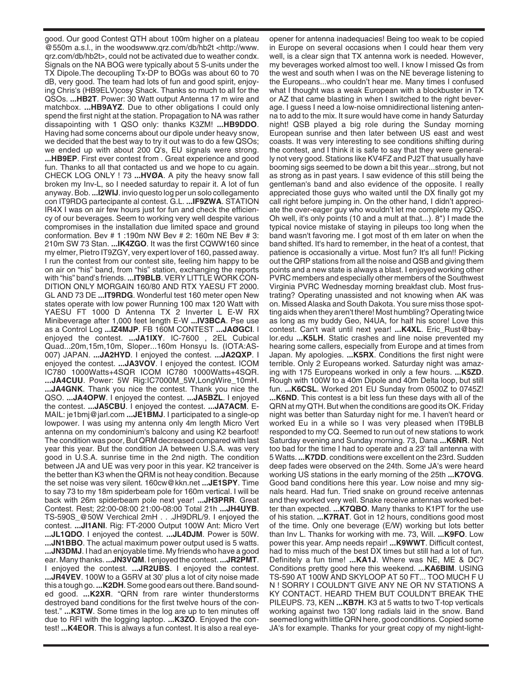good. Our good Contest QTH about 100m higher on a plateau @550m a.s.l., in the woodswww.qrz.com/db/hb2t <http://www. qrz.com/db/hb2t>, could not be activated due to weather condx. Signals on the NA BOG were typically about 5 S-units under the TX Dipole.The decoupling Tx-DP to BOGs was about 60 to 70 dB, very good. The team had lots of fun and good spirit, enjoying Chris's (HB9ELV)cosy Shack. Thanks so much to all for the QSOs. **...HB2T**. Power: 30 Watt output Antenna 17 m wire and matchbox. **...HB9AYZ**. Due to other obligations I could only spend the first night at the station. Propagation to NA was rather dissapointing with 1 QSO only: thanks K3ZM! **...HB9DDO**. Having had some concerns about our dipole under heavy snow, we decided that the best way to try it out was to do a few QSOs; we ended up with about 200 Q's, EU signals were strong. **...HB9EP**. First ever contest from . Great experience and good fun. Thanks to all that contacted us and we hope to cu again. CHECK LOG ONLY ! 73 **...HVØA**. A pity the heavy snow fall broken my Inv-L, so I needed saturday to repair it. A lot of fun anyway. Bob. **...I2WIJ**. invio questo log per un solo collegamento con IT9RDG partecipante al contest. G.L. **...IF9ZWA**. STATION IR4X I was on air few hours just for fun and check the efficiency of our beverages. Seem to working very well despite various compromises in the installation due limited space and ground conformation. Bev # 1 :190m NW Bev # 2: 160m NE Bev # 3: 210m SW 73 Stan. **...IK4ZGO**. It was the first CQWW160 since my elmer, Pietro IT9ZGY, very expert lover of 160, passed away. I run the contest from our contest site, feeling him happy to be on air on "his" band, from "his" station, exchanging the reports with "his" band's friends. **...IT9BLB**. VERY LITTLE WORK CON-DITION ONLY MORGAIN 160/80 AND RTX YAESU FT 2000. GL AND 73 DE **...IT9RDG**. Wonderful test 160 meter open New states operate with low power Running 100 max 120 Watt with YAESU FT 1000 D Antenna TX 2 Inverter L E-W RX Minibeverage after 1,000 feet length E-W **...IV3BCA**. Pse use as a Control Log **...IZ4MJP**. FB 160M CONTEST **...JAØGCI**. I enjoyed the contest. **...JA1IXY**. IC-7600 , 2EL Cubical Quad...20m,15m,10m, Sloper...160m Honsyu Is. (IOTA:AS-007) JAPAN. **...JA2HYD**. I enjoyed the contest. **...JA2QXP**. I enjoyed the contest. **...JA3VOV**. I enjoyed the contest. ICOM IC780 1000Watts+4SQR ICOM IC780 1000Watts+4SQR. **...JA4CUU**. Power: 5W Rig:IC7000M\_5W,LongWire\_10mH. **...JA4GNK**. Thank you nice the contest. Thank you nice the QSO. **...JA4OPW**. I enjoyed the contest. **...JA5BZL**. I enjoyed the contest. **...JA5CBU**. I enjoyed the contest. **...JA7ACM**. E-MAIL: je1bmj@jarl.com **...JE1BMJ**. I participated to a single-op lowpower. I was using my antenna only 4m length Micro Vert antenna on my condominium's balcony and using K2 bearfoot! The condition was poor, But QRM decreased compared with last year this year. But the condition JA between U.S.A. was very good in U.S.A. sunrise time in the 2nd nigth. The condition between JA and UE was very poor in this year. K2 tranceiver is the better than K3 when the QRM is not heay condition. Because the set noise was very silent. 160cw@kkn.net **...JE1SPY**. Time to say 73 to my 18m spiderbeam pole for 160m vertical. I will be back with 26m spiderbeam pole next year! **...JH3PRR**. Great Contest. Rest; 22:00-08:00 21:00-08:00 Total 21h **...JH4UYB**. TS-590S\_@50W Verchical 2mH . . .JH9DRL/9. I enjoyed the contest. **...JI1ANI**. Rig: FT-2000 Output 100W Ant: Micro Vert **...JL1QDO**. I enjoyed the contest. **...JL4DJM**. Power is 50W. **...JN1BBO**. The actual maximum power output used is 5 watts. **...JN3DMJ**. I had an enjoyable time. My friends who have a good ear. Many thanks. **...JN3VQM**. I enjoyed the contest. **...JR2PMT**. I enjoyed the contest. **...JR2UBS**. I enjoyed the contest. **...JR4VEV**. 100W to a G5RV at 30' plus a lot of city noise made this a tough go. **...K2DH**. Some good ears out there. Band sounded good. **...K2XR**. "QRN from rare winter thunderstorms destroyed band conditions for the first twelve hours of the contest." **...K3TW**. Some times in the log are up to ten minutes off due to RFI with the logging laptop. **...K3ZO**. Enjoyed the contest! **...K4EOR**. This is always a fun contest. It is also a real eyeopener for antenna inadequacies! Being too weak to be copied in Europe on several occasions when I could hear them very well, is a clear sign that TX antenna work is needed. However, my beverages worked almost too well. I know I missed Qs from the west and south when I was on the NE beverage listening to the Europeans...who couldn't hear me. Many times I confused what I thought was a weak European with a blockbuster in TX or AZ that came blasting in when I switched to the right beverage. I guess I need a low-noise omnidirectional listening antenna to add to the mix. It sure would have come in handy Saturday night! QSB played a big role during the Sunday morning European sunrise and then later between US east and west coasts. It was very interesting to see conditions shifting during the contest, and I think it is safe to say that they were generally not very good. Stations like KV4FZ and PJ2T that usually have booming sigs seemed to be down a bit this year...strong, but not as strong as in past years. I saw evidence of this still being the gentleman's band and also evidence of the opposite. I really appreciated those guys who waited until the DX finally got my call right before jumping in. On the other hand, I didn't appreciate the over-eager guy who wouldn't let me complete my QSO. Oh well, it's only points (10 and a mult at that...). 8\*) I made the typical novice mistake of staying in pileups too long when the band wasn't favoring me. I got most of th em later on when the band shifted. It's hard to remember, in the heat of a contest, that patience is occasionally a virtue. Most fun? It's all fun!! Picking out the QRP stations from all the noise and QSB and giving them points and a new state is always a blast. I enjoyed working other PVRC members and especially other members of the Southwest Virginia PVRC Wednesday morning breakfast club. Most frustrating? Operating unassisted and not knowing when AK was on. Missed Alaska and South Dakota. You sure miss those spotting aids when they aren't there! Most humbling? Operating twice as long as my buddy Geo, N4UA, for half his score! Love this contest. Can't wait until next year! **...K4XL**. Eric\_Rust@baylor.edu **...K5LH**. Static crashes and line noise prevented my hearing some callers, especially from Europe and at times from Japan. My apologies. **...K5RX**. Conditions the first night were terrible. Only 2 Europeans worked. Saturday night was amazing with 175 Europeans worked in only a few hours. **...K5ZD**. Rough with 100W to a 40m Dipole and 40m Delta loop, but still fun. **...K6CSL**. Worked 201 EU Sunday from 0500Z to 0745Z! **...K6ND**. This contest is a bit less fun these days with all of the QRN at my QTH. But when the conditions are good its OK. Friday night was better than Saturday night for me. I haven't heard or worked Eu in a while so I was very pleased when IT9BLB responded to my CQ. Seemed to run out of new stations to work Saturday evening and Sunday morning. 73, Dana **...K6NR**. Not too bad for the time I had to operate and a 23' tall antenna with 5 Watts. **...K7DD**. conditions were excellent on the 23rd. Sudden deep fades were observed on the 24th. Some JA's were heard working US stations in the early morning of the 25th **...K7OVG**. Good band conditions here this year. Low noise and mny signals heard. Had fun. Tried snake on ground receive antennas and they worked very well. Snake receive antennas worked better than expected. **...K7QBO**. Many thanks to K1PT for the use of his station. **...K7RAT**. Got in 12 hours, conditions good most of the time. Only one beverage (E/W) working but lots better than Inv L. Thanks for working with me. 73, Will. **...K9FO**. Low power this year. Amp needs repair! **...K9WWT**. Difficult contest, had to miss much of the best DX times but still had a lot of fun. Definitely a fun time! **...KA1J**. Where was NE, ME & DC? Conditions pretty good here this weekend. **...KA6BIM**. USING TS-590 AT 100W AND SKYLOOP AT 50 FT... TOO MUCH F U N ! SORRY I COULDN'T GIVE ANY NE OR NV STATIONS A KY CONTACT. HEARD THEM BUT COULDN'T BREAK THE PILEUPS. 73, KEN **...KB7H**. K3 at 5 watts to two T-top verticals working against two 130' long radials laid in the snow. Band seemed long with little QRN here, good conditions. Copied some JA's for example. Thanks for your great copy of my night-light-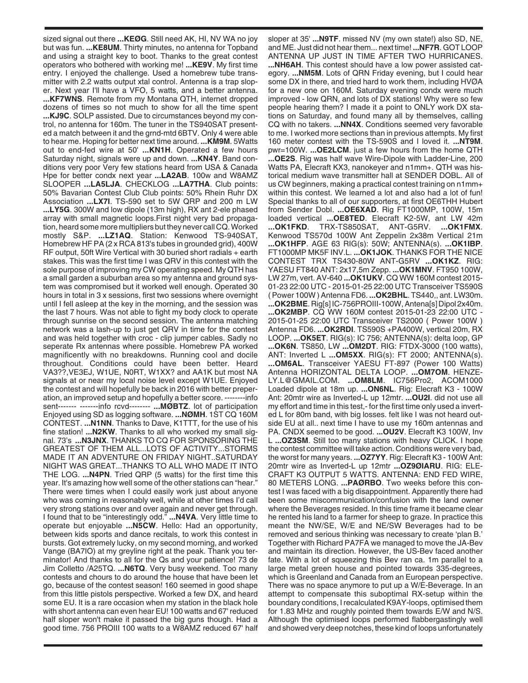sized signal out there **...KEØG**. Still need AK, HI, NV WA no joy but was fun. **...KE8UM**. Thirty minutes, no antenna for Topband and using a straight key to boot. Thanks to the great contest operators who bothered with working me! **...KE9V**. My first time entry. I enjoyed the challenge. Used a homebrew tube transmitter with 2.2 watts output xtal control. Antenna is a trap sloper. Next year I'll have a VFO, 5 watts, and a better antenna. **...KF7WNS**. Remote from my Montana QTH, internet dropped dozens of times so not much to show for all the time spent **...KJ9C**. SOLP assisted. Due to circumstances beyond my control, no antenna for 160m. The tuner in the TS940SAT presented a match between it and the grnd-mtd 6BTV. Only 4 were able to hear me. Hoping for better next time around. **...KM9M**. 5Watts out to end-fed wire at 50' **...KN1H**. Operated a few hours Saturday night, signals were up and down. **...KN4Y**. Band conditions very poor Very few stations heard from USA & Canada Hpe for better condx next year **...LA2AB**. 100w and W8AMZ SLOOPER **...LA5LJA**. CHECKLOG **...LA7THA**. Club points: 50% Bavarian Contest Club Club points: 50% Rhein Ruhr DX Association **...LX7I**. TS-590 set to 5W QRP and 200 m LW **...LY5G**. 300W and low dipole (13m high), RX ant 2-ele phased array with small magnetic loops.First night very bad propagation, heard some more multipliers but they never call CQ. Worked mostly S&P. **...LZ1AQ**. Station: Kenwood TS-940SAT, Homebrew HF PA (2 x RCA 813's tubes in grounded grid), 400W RF output, 50ft Wire Vertical with 30 buried short radials + earth stakes. This was the first time I was QRV in this contest with the sole purpose of improving my CW operating speed. My QTH has a small garden a suburban area so my antenna and ground system was compromised but it worked well enough. Operated 30 hours in total in 3 x sessions, first two sessions where overnight until I fell asleep at the key in the morning, and the session was the last 7 hours. Was not able to fight my body clock to operate through sunrise on the second session. The antenna matching network was a lash-up to just get QRV in time for the contest and was held together with croc - clip jumper cables. Sadly no seperate Rx antennas where possible. Homebrew PA worked magnificently with no breakdowns. Running cool and docile throughout. Conditions could have been better. Heard VA3??,VE3EJ, W1UE, N0RT, W1XX? and AA1K but most NA signals at or near my local noise level except W1UE. Enjoyed the contest and will hopefully be back in 2016 with better preperation, an improved setup and hopefully a better score. --------info sent------- -------info rcvd-------- **...MØBTZ**. lot of participation Enjoyed using SD as logging software. **...NØMH**. 1ST CQ 160M CONTEST. **...N1NN**. Thanks to Dave, K1TTT, for the use of his fine station! **...N2KW**. Thanks to all who worked my small signal. 73's **...N3JNX**. THANKS TO CQ FOR SPONSORING THE GREATEST OF THEM ALL...LOTS OF ACTIVITY...STORMS MADE IT AN ADVENTURE ON FRIDAY NIGHT..SATURDAY NIGHT WAS GREAT...THANKS TO ALL WHO MADE IT INTO THE LOG. **...N4PN**. Tried QRP (5 watts) for the first time this year. It's amazing how well some of the other stations can "hear." There were times when I could easily work just about anyone who was coming in reasonably well, while at other times I'd call very strong stations over and over again and never get through. I found that to be "interestingly odd." **...N4VA**. Very little time to operate but enjoyable **...N5CW**. Hello: Had an opportunity, between kids sports and dance recitals, to work this contest in bursts. Got extremely lucky, on my second morning, and worked Vange (BA7IO) at my greyline right at the peak. Thank you terminator! And thanks to all for the Qs and your patience! 73 de Jim Colletto /A25TQ. **...N6TQ**. Very busy weekend. Too many contests and chours to do around the house that have been let go, because of the contest season! 160 seemed in good shape from this little pistols perspective. Worked a few DX, and heard some EU. It is a rare occasion when my station in the black hole with short antenna can even hear EU! 100 watts and 67' reduced half sloper won't make it passed the big guns though. Had a good time. 756 PROIII 100 watts to a W8AMZ reduced 67' half

sloper at 35' **...N9TF**. missed NV (my own state!) also SD, NE, and ME. Just did not hear them... next time! **...NF7R**. GOT LOOP ANTENNA UP JUST IN TIME AFTER TWO HURRICANES. **...NH6AH**. This contest should have a low power assisted category. **...NM5M**. Lots of QRN Friday evening, but I could hear some DX in there, and tried hard to work them, including HVØA for a new one on 160M. Saturday evening condx were much improved - low QRN, and lots of DX stations! Why were so few people hearing them? I made it a point to ONLY work DX stations on Saturday, and found many all by themselves, calling CQ with no takers. **...NN4X**. Conditions seemed very favorable to me. I worked more sections than in previous attempts. My first 160 meter contest with the TS-590S and I loved it. **...NT9M**. pwr=100W. **...OE2LCM**. just a few hours from the home QTH **...OE2S**. Rig was half wave Wire-Dipole with Ladder-Line, 200 Watts PA, Elecraft KX3, nanokeyer and n1mm+. QTH was historical medium wave transmitter hall at SENDER DOBL. All of us CW beginners, making a practical contest training on n1mm+ within this contest. We learned a lot and also had a lot of fun! Special thanks to all of our supporters, at first OE6THH Hubert from Sender Dobl. **...OE6XAD**. Rig FT1000MP, 100W, 15m loaded vertical ...**OE8TED**. Elecraft K2-5W, ant LW 42m<br>...**OK1FKD**. TRX-TS850SAT, ANT-G5RV. ...**OK1FMX**. **...OK1FKD**. TRX-TS850SAT, ANT-G5RV. **...OK1FMX**. Kenwood TS570d 100W Ant Zeppelin 2x38m Vertical 21m **...OK1HFP**. AGE 63 RIG(s): 50W; ANTENNA(s). **...OK1IBP**. FT1000MP MK5F INV.L. **...OK1JOK**. THANKS FOR THE NICE CONTEST TRX TS430-80W ANT-G5RV **...OK1KZ**. RIG: YAESU FT840 ANT: 2x17,5m Zepp. **...OK1MNV**. FT950 100W, LW 27m, vert. AV-640 **...OK1UKV**. CQ WW 160M contest 2015- 01-23 22:00 UTC - 2015-01-25 22:00 UTC Transceiver TS590S ( Power 100W ) Antenna FD6. **...OK2BHL**. TS440,, ant. LW30m. **...OK2BME**. Rig[s] IC-756PROIII-100W, Antena[s] Dipol 2x40m. **...OK2MBP**. CQ WW 160M contest 2015-01-23 22:00 UTC - 2015-01-25 22:00 UTC Transceiver TS2000 ( Power 100W ) Antenna FD6. **...OK2RDI**. TS590S +PA400W, vertical 20m, RX LOOP. **...OK5ET**. RIG(s): IC 756; ANTENNA(s): delta loop, GP **...OK6N**. TS850, LW **...OM2DT**. RIG: FTDX-3000 (100 watts), ANT: Inverted L **...OM5XX**. RIG(s): FT 2000; ANTENNA(s). **...OM6AL**. Transceiver YAESU FT-897 (Power 100 Watts) Antenna HORIZONTAL DELTA LOOP. **...OM7OM**. HENZE-LY.L@GMAIL.COM. **...OM8LM**. IC756Pro2, ACOM1000 Loaded dipole at 18m up. **...ON6NL**. Rig: Elecraft K3 - 100W Ant: 20mtr wire as Inverted-L up 12mtr. **...OU2I**. did not use all my effort and time in this test,- for the first time only used a inverted L for 80m band, with big losses. felt like I was not heard outside EU at all.. next time I have to use my 160m antennas and PA. CNDX seemed to be good. **...OU2V**. Elecraft K3 100W, Inv L **...OZ3SM**. Still too many stations with heavy CLICK. I hope the contest committee will take action. Conditions were very bad, the worst for many years. **...OZ7YY**. Rig: Elecraft K3 - 100W Ant: 20mtr wire as Inverted-L up 12mtr **...OZ9ØIARU**. RIG: ELE-CRAFT K3 OUTPUT 5 WATTS. ANTENNA: END FED WIRE, 80 METERS LONG. **...PAØRBO**. Two weeks before this contest I was faced with a big disappointment. Apparently there had been some miscommunication/confusion with the land owner where the Beverages resided. In this time frame it became clear he rented his land to a farmer for sheep to graze. In practice this meant the NW/SE, W/E and NE/SW Beverages had to be removed and serious thinking was necessary to create 'plan B.' Together with Richard PA7FA we managed to move the JA-Bev and maintain its direction. However, the US-Bev faced another fate. With a lot of squeezing this Bev ran ca. 1m parallel to a large metal green house and pointed towards 335-degrees, which is Greenland and Canada from an European perspective. There was no space anymore to put up a W/E-Beverage. In an attempt to compensate this suboptimal RX-setup within the boundary conditions, I recalculated K9AY-loops, optimised them for 1.83 MHz and roughly pointed them towards E/W and N/S. Although the optimised loops performed flabbergastingly well and showed very deep notches, these kind of loops unfortunately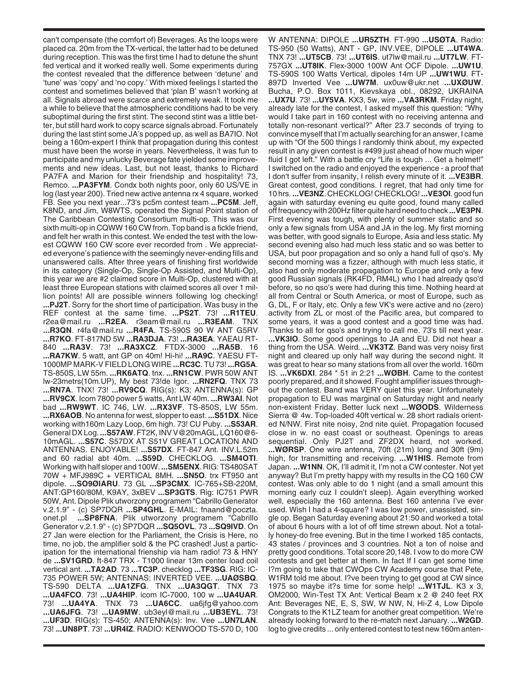can't compensate (the comfort of) Beverages. As the loops were placed ca. 20m from the TX-vertical, the latter had to be detuned during reception. This was the first time I had to detune the shunt fed vertical and it worked really well. Some experiments during the contest revealed that the difference between 'detune' and 'tune' was 'copy' and 'no copy.' With mixed feelings I started the contest and sometimes believed that 'plan B' wasn't working at all. Signals abroad were scarce and extremely weak. It took me a while to believe that the atmospheric conditions had to be very suboptimal during the first stint. The second stint was a little better, but still hard work to copy scarce signals abroad. Fortunately during the last stint some JA's popped up, as well as BA7IO. Not being a 160m-expert I think that propagation during this contest must have been the worse in years. Nevertheless, it was fun to participate and my unlucky Beverage fate yielded some improvements and new ideas. Last, but not least, thanks to Richard PA7FA and Marion for their friendship and hospitality! 73, Remco. **...PA3FYM**. Condx both nights poor, only 60 US/VE in log (last year 200). Tried new active antenna rx 4 square, worked FB. See you next year...73's pc5m contest team **...PC5M**. Jeff, K8ND, and Jim, W8WTS, operated the Signal Point station of The Caribbean Contesting Consortium multi-op. This was our sixth multi-op in CQWW 160 CW from. Top band is a fickle friend, and felt her wrath in this contest. We ended the test with the lowest CQWW 160 CW score ever recorded from . We appreciated everyone's patience with the seemingly never-ending fills and unanswered calls. After three years of finishing first worldwide in its category (Single-Op, Single-Op Assisted, and Multi-Op), this year we are #2 claimed score in Multi-Op, clustered with at least three European stations with claimed scores all over 1 million points! All are possible winners following log checking! **...PJ2T**. Sorry for the short time of participation. Was busy in the REF contest at the same time. **...PS2T**. 73! **...R1TEU**. r2ea@mail.ru **...R2EA**. r3eam@mail.ru **...R3EAM**. TNX **...R3QN**. r4fa@mail.ru **...R4FA**. TS-590S 90 W ANT G5RV **...R7KO**. FT-817ND 5W **...RA3DJA**. 73! **...RA3EA**. YAEAU RT-840 **...RA3V**. 73! **...RA3XCZ**. FTDX-3000 **...RA5B**. 16 **...RA7KW**. 5 watt, ant GP on 40m! Hi-hi! **...RA9C**. YAESU FT-1000MP MARK-V FIELD LONG WIRE **...RC3C**. TU 73! **...RG5A**. TS-850S, LW 55m. **...RK6ATQ**. tnx. **...RN1CW**. PWR 50W ANT lw-23metrs(10m.UP), My best 73!de Igor. **...RN2FQ**. TNX 73 **...RN7A**. TNX! 73! **...RV9CQ**. RIG(s): K3; ANTENNA(s): GP **...RV9CX**. Icom 7800 power 5 watts, Ant LW 40m. **...RW3AI**. Not bad **...RW9WT**. IC 746, LW. **...RX3VF**. TS-850S, LW 55m. **...RX6AOB**. No antenna for west, slopper to east. **...S51DX**. Nice working with160m Lazy Loop, 6m high. 73! CU Puby. **...S53AR**. General DX Log. **...S57AW**. FT2K, INV V@20mAGL, LQ160@6- 10mAGL. **...S57C**. S57DX AT S51V GREAT LOCATION AND ANTENNAS. ENJOYABLE! **...S57DX**. FT-847 Ant. INV.L.52m and 60 radial abt 40m. **...S59D**. CHECKLOG. **...SM4OTI**. Working with half sloper and 100W. **...SM5ENX**. RIG: TS480SAT 70W + MFJ989C + VERTICAL 8MH. **...SN5O**. trx FT950 ant dipole. **...SO9ØIARU**. 73 GL **...SP3CMX**. IC-765+SB-220M, ANT:GP160/80M, K9AY, 3xBEV **...SP3GTS**. Rig: IC751 PWR 50W, Ant. Dipole Plik utworzony programem "Cabrillo Generator v.2.1.9" - (c) SP7DQR **...SP4GHL**. E-MAIL: fnaand@poczta. onet.pl **...SP8FNA**. Plik utworzony programem "Cabrillo Generator v.2.1.9" - (c) SP7DQR **...SQ5OVL**. 73 **...SQ9IVD**. On 27 Jan were election for the Parliament, the Crisis is Here, no time, no job, the amplifier sold & the PC crashed! Just a participation for the international frienship via ham radio! 73 & HNY de **...SV1GRD**. ft-847 TRX - T1000 linear 13m center load coil vertical ant. **...TA2AD**. 73 **...TC3P**. checklog **...TF3SG**. RIG: IC-735 POWER 5W; ANTENNAS: INVERTED VEE. **...UAØSBQ**. TS-590 DELTA **...UA1ZFG**. TNX **...UA3QGT**. TNX 73 **...UA4FCO**. 73! **...UA4HIP**. icom IC-7000, 100 w **...UA4UAR**. 73! **...UA4YA**. TNX 73 **...UA6CC**. ua6jfg@yahoo.com **...UA6JFG**. 73! **...UA9MW**. ub3eyl@mail.ru **...UB3EYL**. 73! **...UF3D**. RIG(s): TS-450; ANTENNA(s): Inv. Vee **...UN7LAN**. 73! **...UN8PT**. 73! **...UR4IZ**. RADIO: KENWOOD TS-570 D, 100

W ANTENNA: DIPOLE **...UR5ZTH**. FT-990 **...USØTA**. Radio: TS-950 (50 Watts), ANT - GP, INV.VEE, DIPOLE **...UT4WA**. TNX 73! **...UT5CB**. 73! **...UT6IS**. ut7lw@mail.ru **...UT7LW**. FT-757GX **...UT8IK**. Flex-3000 100W Ant OCF Dipole. **...UW1U**. TS-590S 100 Watts Vertical, dipoles 14m UP **...UW1WU**. FT-897D Inverted Vee **...UW7M**. ux0uw@ukr.net **...UXØUW**. Bucha, P.O. Box 1011, Kievskaya obl., 08292, UKRAINA **...UX7U**. 73! **...UY5VA**. KX3, 5w, wire **...VA3RKM**. Friday night, already late for the contest, I asked myself this question: "Why would I take part in 160 contest with no receiving antenna and totally non-resonant vertical?" After 23.7 seconds of trying to convince myself that I'm actually searching for an answer, I came up with "Of the 500 things I randomly think about, my expected result in any given contest is #499 just ahead of how much wiper fluid I got left." With a battle cry "Life is tough ... Get a helmet!" I switched on the radio and enjoyed the experience - a proof that I don't suffer from insanity, I relish every minute of it. **...VE3BR**. Great contest, good conditions. I regret, that had only time for 10 hrs. **...VE3NZ**. CHECKLOG! CHECKLOG! **...VE3OI**. good fun again with saturday evening eu quite good, found many called off frequency with 200Hz filter quite hard need to check **...VE3PN**. First evening was tough, with plenty of summer static and so only a few signals from USA and JA in the log. My first morning was better, with good signals to Europe, Asia and less static. My second evening also had much less static and so was better to USA, but poor propagation and so only a hand full of qso's. My second morning was a fizzer, although with much less static, it also had only moderate propagation to Europe and only a few good Russian signals (RK4FD, RM4L) who I had already qso'd before, so no qso's were had during this time. Nothing heard at all from Central or South America, or most of Europe, such as G, DL, F or Italy, etc. Only a few VK's were active and no (zero) activity from ZL or most of the Pacific area, but compared to some years, it was a good contest and a good time was had. Thanks to all for qso's and trying to call me. 73's till next year. **...VK3IO**. Some good openings to JA and EU. Did not hear a thing from the USA. Weird. **...VK3TZ**. Band was very noisy first night and cleared up only half way during the second night. It was great to hear so many stations from all over the world. 160m IS. **...VK6DXI**. 284 \* 51 in 2:21 **...WØBH**. Came to the contest poorly prepared, and it showed. Fought amplifier issues throughout the contest. Band was VERY quiet this year. Unfortunately propagation to EU was marginal on Saturday night and nearly non-existent Friday. Better luck next **...WØODS**. Wilderness Sierra @ 4w. Top-loaded 40ft vertical w. 28 short radials oriented N/NW. First nite noisy, 2nd nite quiet. Propagation focused close in w. no east coast or southeast. Openings to areas sequential. Only PJ2T and ZF2DX heard, not worked. **...WØRSP**. One wire antenna, 70ft (21m) long and 30ft (9m) high, for transmitting and receiving. **...W1HIS**. Remote from Japan. **...W1NN**. OK, I'll admit it, I'm not a CW contester. Not yet anyway? But I'm pretty happy with my results in the CQ 160 CW contest. Was only able to do 1 night (and a small amount this morning early cuz I couldn't sleep). Again everything worked well, especially the 160 antenna. Best 160 antenna I've ever used. Wish I had a 4-square? I was low power, unassisted, single op. Began Saturday evening about 21:50 and worked a total of about 6 hours with a lot of off time strewn about. Not a totally honey-do free evening. But in the time I worked 185 contacts, 43 states / provinces and 3 countries. Not a ton of noise and pretty good conditions. Total score 20,148. I vow to do more CW contests and get better at them. In fact If I can get some time I?m going to take that CWOps CW Academy course that Pete, W1RM told me about. I?ve been trying to get good at CW since 1975 so maybe it?s time for some help! **...W1TJL**. K3 x 3, OM2000, Win-Test TX Ant: Vertical Beam x 2 @ 240 feet RX Ant: Beverages NE, E, S, SW, W NW, N, Hi-Z 4, Low Dipole Congrats to the K1LZ team for another great competition. We're already looking forward to the re-match next January. **...W2GD**. log to give credits ... only entered contest to test new 160m anten-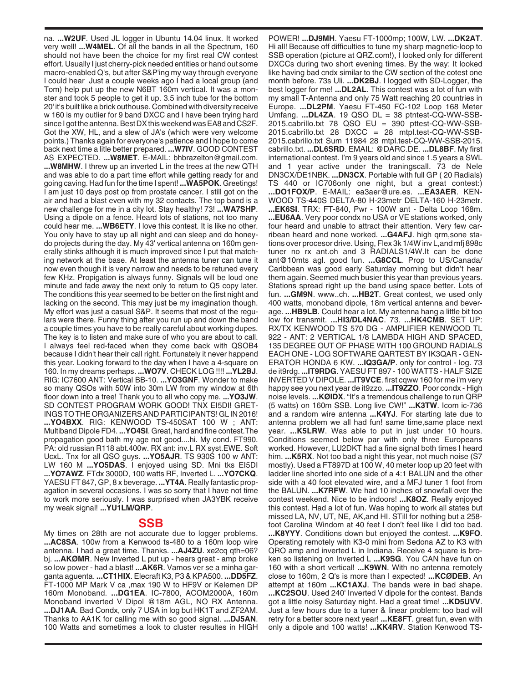na. **...W2UF**. Used JL logger in Ubuntu 14.04 linux. It worked very well! **...W4MEL**. Of all the bands in all the Spectrum, 160 should not have been the choice for my first real CW contest effort. Usually I just cherry-pick needed entities or hand out some macro-enabled Q's, but after S&P'ing my way through everyone I could hear Just a couple weeks ago I had a local group (and Tom) help put up the new N6BT 160m vertical. It was a monster and took 5 people to get it up. 3.5 inch tube for the bottom 20' it's built like a brick outhouse. Combined with diversity receive w 160 is my outlier for 9 band DXCC and I have been trying hard since I got the antenna. Best DX this weekend was EA8 and CS2F. Got the XW, HL, and a slew of JA's (which were very welcome points.) Thanks again for everyone's patience and I hope to come back next time a litle better prepared. **...W7IV**. GOOD CONTEST AS EXPECTED. **...W8MET**. E-MAIL: bhbrazelton@gmail.com. **...W8MHW**. I threw up an inverted L in the trees at the new QTH and was able to do a part time effort while getting ready for and going caving. Had fun for the time I spent! **...WA5POK**. Greetings! I am just 10 days post op from prostate cancer. I still got on the air and had a blast even with my 32 contacts. The top band is a new challenge for me in a city lot. Stay healthy! 73! **...WA7SHP**. Using a dipole on a fence. Heard lots of stations, not too many could hear me. **...WB6ETY**. I love this contest. It is like no other. You only have to stay up all night and can sleep and do honeydo projects during the day. My 43' vertical antenna on 160m generally stinks although it is much improved since I put that matching network at the base. At least the antenna tuner can tune it now even though it is very narrow and needs to be retuned every few KHz. Propigation is always funny. Signals will be loud one minute and fade away the next only to return to Q5 copy later. The conditions this year seemed to be better on the first night and lacking on the second. This may just be my imagination though. My effort was just a casual S&P. It seems that most of the regulars were there. Funny thing after you run up and down the band a couple times you have to be really careful about working dupes. The key is to listen and make sure of who you are about to call. I always feel red-faced when they come back with QSOB4 because I didn't hear their call right. Fortunately it never happend this year. Looking forward to the day when I have a 4-square on 160. In my dreams perhaps. **...WO7V**. CHECK LOG !!!! **...YL2BJ**. RIG: IC7600 ANT: Vertical BB-10. **...YO3GNF**. Wonder to make so many QSOs with 50W into 30m LW from my window at 6th floor down into a tree! Thank you to all who copy me. **...YO3JW**. SD CONTEST PROGRAM WORK GOOD! TNX EI5DI! GRET-INGS TO THE ORGANIZERS AND PARTICIPANTS! GL IN 2016! **...YO4BXX**. RIG: KENWOOD TS-450SAT 100 W ; ANT: Multiband Dipole FD4. **...YO4SI**. Great, hard and fine contest.The propagation good bath my age not good....hi. My cond. FT990. PA: old russian R118 abt.400w. RX ant: inv.L RX syst.EWE. Soft UcxL. Tnx for all QSO guys. **...YO5AJR**. TS 930S 100 w ANT: LW 160 M **...YO5DAS**. I enjoyed using SD. Mni tks EI5DI **...YO7AWZ**. FTdx 3000D, 100 watts RF, Inverted L. **...YO7CKQ**. YAESU FT 847, GP, 8 x beverage. **...YT4A**. Really fantastic propagation in several occasions. I was so sorry that I have not time to work more seriously. I was surprised when JA3YBK receive my weak signal! **...YU1LM/QRP**.

## **SSB**

My times on 28th are not accurate due to logger problems. **...AC8SA**. 100w from a Kenwood ts-480 to a 160m loop wire antenna. I had a great time. Thanks. **...AJ4ZU**. xe2cq qth=06? bj. **...AKØMR**. New Inverted L put up - hears great - amp broke so low power - had a blast! **...AK6R**. Vamos ver se a minha garganta aguenta. **...CT1HIX**. Elecraft K3, P3 & KPA500. **...DD5FZ**. FT-1000 MP Mark V ca ,max 190 W to HF9V or Kelemen DP 160m Monoband. **...DG1EA**. IC-7800, ACOM2000A, 160m Monoband inverted V Dipol @18m AGL, NO RX Antenna. **...DJ1AA**. Bad Condx, only 7 USA in log but HK1T and ZF2AM. Thanks to AA1K for calling me with so good signal. **...DJ5AN**. 100 Watts and sometimes a look to cluster resultes in HIGH

POWER! **...DJ9MH**. Yaesu FT-1000mp; 100W, LW. **...DK2AT**. Hi all! Because off difficulties to tune my sharp magnetic-loop to SSB operation (picture at QRZ.com!), I looked only for different DXCCs during two short evening times. By the way: It looked like having bad cndx similar to the CW section of the cotest one month before. 73s Uli. **...DK2BJ**. I logged with SD-Logger, the best logger for me! **...DL2AL**. This contest was a lot of fun with my small T-Antenna and only 75 Watt reaching 20 countries in Europe. **...DL2PM**. Yaesu FT-450 FC-102 Loop 168 Meter Umfang. **...DL4ZA**. 19 QSO DL = 38 ptntest-CQ-WW-SSB-2015.cabrillo.txt 78 QSO EU = 390 pttest-CQ-WW-SSB-2015.cabrillo.txt 28 DXCC = 28 mtpl.test-CQ-WW-SSB-2015.cabrillo.txt Sum 11984 28 mtpl.test-CQ-WW-SSB-2015. cabrillo.txt. **...DL6SRD**. EMAIL: @DARC.DE. **...DL8BF**. My first international contest. I'm 9 years old and since 1.5 years a SWL and 1 year active under the traningscall. 73 de Nele DN3CX/DE1NBK. **...DN3CX**. Portable with full GP ( 20 Radials) TS 440 or IC706only one night, but a great contest:) **...DO1FOX/P**. E-MAIL: ea3aer@ure.es. **...EA3AER**. KEN-WOOD TS-440S DELTA-80 H-23metr DELTA-160 H-23metr. **...EK6SI**. TRX: FT-840, Pwr - 100W ant - Delta Loop 168m. **...EU6AA**. Very poor condx no USA or VE stations worked, only four heard and unable to attract their attention. Very few carribean heard and none worked. **...G4AFJ**. high qrm,sone stations over procesor drive. Using, Flex 3k 1/4W inv L,and mfj 898c tuner no rx ant.oh and 3 RADIALS1/4W.It can be done ant@10mts agl. good fun. **...G8CCL**. Prop to US/Canada/ Caribbean was good early Saturday morning but didn't hear them again. Seemed much busier this year than previous years. Stations spread right up the band using space better. Lots of fun. **...GM9N**. www..ch. **...HB2T**. Great contest, we used only 400 watts, monoband dipole, 18m vertical antenna and beverage. **...HB9LB**. Could hear a lot. My antenna hang a little bit too low for transmit. **...HI3/DL4NAC**. 73. **...HK4CMB**. SET UP: RX/TX KENWOOD TS 570 DG - AMPLIFIER KENWOOD TL 922 - ANT: 2 VERTICAL 1/8 LAMBDA HIGH AND SPACED, 135 DEGREE OUT OF PHASE WITH 100 GROUND RADIALS EACH ONE - LOG SOFTWARE QARTEST BY IK3QAR - GEN-ERATOR HONDA 6 KW. **...IQ3GA/P**. only for control - log. 73 de it9rdg. **...IT9RDG**. YAESU FT 897 - 100 WATTS - HALF SIZE INVERTED V DIPOLE. **...IT9VCE**. first cqww 160 for me i'm very happy see you next year de it9zzo. **...IT9ZZO**. Poor condx - High noise levels. **...KØIDX**. "It's a tremendous challenge to run QRP (5 watts) on 160m SSB. Long live CW!" **...K3TW**. Icom ic-736 and a random wire antenna **...K4YJ**. For starting late due to antenna problem we all had fun! same time,same place next year. **...K5LRW**. Was able to put in just under 10 hours. Conditions seemed below par with only three Europeans worked. However, LU2DKT had a fine signal both times I heard him. **...K5RX**. Not too bad a night this year, not much noise (S7 mostly). Used a FT897D at 100 W, 40 meter loop up 20 feet with ladder line shorted into one side of a 4:1 BALUN and the other side with a 40 foot elevated wire, and a MFJ tuner 1 foot from the BALUN. **...K7RFW**. We had 10 inches of snowfall over the contest weekend. Nice to be indoors! **...K8OZ**. Really enjoyed this contest. Had a lot of fun. Was hoping to work all states but missed LA, NV, UT, NE, AK,and HI. STill for nothing but a 258 foot Carolina Windom at 40 feet I don't feel like I did too bad. **...K8YYY**. Conditions down but enjoyed the contest. **...K9FO**. Operating remotely with K3-0 mini from Sedona AZ to K3 with QRO amp and inverted L in Indiana. Receive 4 square is broken so listening on Inverted L **...K9SG**. You CAN have fun on 160 with a short vertical! **...K9WN**. With no antenna remotely close to 160m, 2 Q's is more than I expected! **...KCØDEB**. An attempt at 160m **...KC1AXJ**. The bands were in bad shape. **...KC2SOU**. Used 240' Inverted V dipole for the contest. Bands got a little noisy Saturday night. Had a great time! **...KD5UVV**. Just a few hours due to a tuner & linear problem: too bad will retry for a better score next year! **...KE8FT**. great fun, even with only a dipole and 100 watts! **...KK4RV**. Station Kenwood TS-